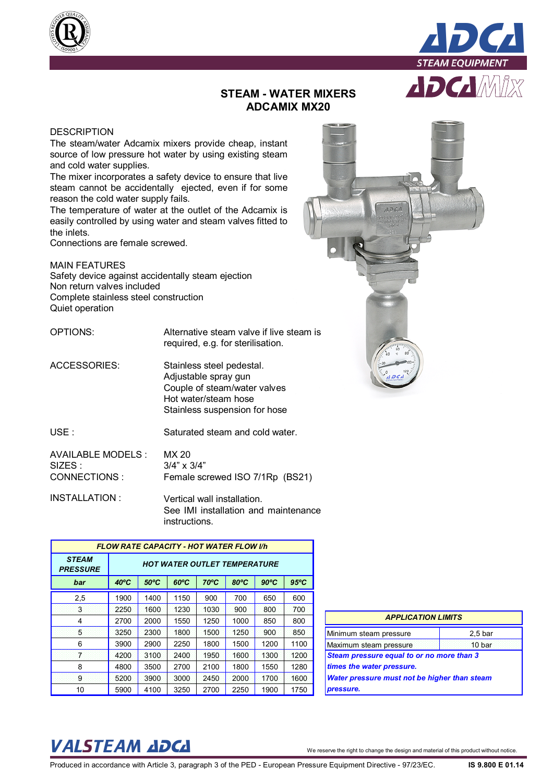



## **STEAM - WATER MIXERS ADCAMIX MX20**

## **DESCRIPTION**

The steam/water Adcamix mixers provide cheap, instant source of low pressure hot water by using existing steam and cold water supplies.

The mixer incorporates a safety device to ensure that live steam cannot be accidentally ejected, even if for some reason the cold water supply fails.

The temperature of water at the outlet of the Adcamix is easily controlled by using water and steam valves fitted to the inlets.

Connections are female screwed.

MAIN FEATURES Safety device against accidentally steam ejection Non return valves included Complete stainless steel construction Quiet operation

OPTIONS: Alternative steam valve if live steam is required, e.g. for sterilisation.

ACCESSORIES: Stainless steel pedestal. Adjustable spray gun Couple of steam/water valves Hot water/steam hose Stainless suspension for hose

USE : Saturated steam and cold water.

| AVAILABLE MODELS : | MX 20                           |
|--------------------|---------------------------------|
| SIZES :            | $3/4" \times 3/4"$              |
| CONNECTIONS :      | Female screwed ISO 7/1Rp (BS21) |

INSTALLATION : Vertical wall installation. See IMI installation and maintenance instructions.

| <b>FLOW RATE CAPACITY - HOT WATER FLOW I/h</b> |                                     |                |                |                |                |                |                |
|------------------------------------------------|-------------------------------------|----------------|----------------|----------------|----------------|----------------|----------------|
| <b>STEAM</b><br><b>PRESSURE</b>                | <b>HOT WATER OUTLET TEMPERATURE</b> |                |                |                |                |                |                |
| bar                                            | $40^{\circ}$ C                      | $50^{\circ}$ C | $60^{\circ}$ C | $70^{\circ}$ C | $80^{\circ}$ C | $90^{\circ}$ C | $95^{\circ}$ C |
| 2,5                                            | 1900                                | 1400           | 1150           | 900            | 700            | 650            | 600            |
| 3                                              | 2250                                | 1600           | 1230           | 1030           | 900            | 800            | 700            |
| 4                                              | 2700                                | 2000           | 1550           | 1250           | 1000           | 850            | 800            |
| 5                                              | 3250                                | 2300           | 1800           | 1500           | 1250           | 900            | 850            |
| 6                                              | 3900                                | 2900           | 2250           | 1800           | 1500           | 1200           | 1100           |
| 7                                              | 4200                                | 3100           | 2400           | 1950           | 1600           | 1300           | 1200           |
| 8                                              | 4800                                | 3500           | 2700           | 2100           | 1800           | 1550           | 1280           |
| 9                                              | 5200                                | 3900           | 3000           | 2450           | 2000           | 1700           | 1600           |
| 10                                             | 5900                                | 4100           | 3250           | 2700           | 2250           | 1900           | 1750           |

| <b>APPLICATION LIMITS</b>                                              |                    |  |  |
|------------------------------------------------------------------------|--------------------|--|--|
| Minimum steam pressure                                                 | 2.5 <sub>bar</sub> |  |  |
| Maximum steam pressure                                                 | 10 bar             |  |  |
| Steam pressure equal to or no more than 3<br>times the water pressure. |                    |  |  |
| <b>Water pressure must not be higher than steam</b><br>pressure.       |                    |  |  |

## VALSTEAM *ADCA* We reserve the right to change the design and material of this product without notice.

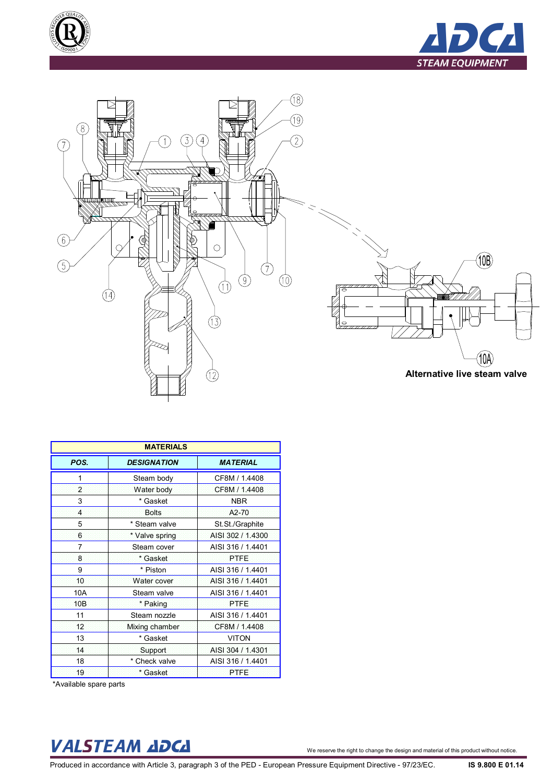





|                | <b>MATERIALS</b>   |                   |  |  |  |
|----------------|--------------------|-------------------|--|--|--|
| POS.           | <b>DESIGNATION</b> | <b>MATERIAL</b>   |  |  |  |
| 1              | Steam body         | CF8M / 1.4408     |  |  |  |
| $\overline{2}$ | Water body         | CF8M / 1.4408     |  |  |  |
| 3              | * Gasket           | <b>NBR</b>        |  |  |  |
| 4              | <b>Bolts</b>       | A2-70             |  |  |  |
| 5              | * Steam valve      | St.St./Graphite   |  |  |  |
| 6              | * Valve spring     | AISI 302 / 1.4300 |  |  |  |
| 7              | Steam cover        | AISI 316 / 1.4401 |  |  |  |
| 8              | * Gasket           | <b>PTFE</b>       |  |  |  |
| 9              | * Piston           | AISI 316 / 1.4401 |  |  |  |
| 10             | Water cover        | AISI 316 / 1.4401 |  |  |  |
| 10A            | Steam valve        | AISI 316 / 1.4401 |  |  |  |
| 10B            | * Paking           | <b>PTFE</b>       |  |  |  |
| 11             | Steam nozzle       | AISI 316 / 1.4401 |  |  |  |
| 12             | Mixing chamber     | CF8M / 1.4408     |  |  |  |
| 13             | * Gasket           | <b>VITON</b>      |  |  |  |
| 14             | <b>Support</b>     | AISI 304 / 1.4301 |  |  |  |
| 18             | * Check valve      | AISI 316 / 1.4401 |  |  |  |
| 19             | * Gasket           | <b>PTFE</b>       |  |  |  |

\*Available spare parts

## VALSTEAM *ADCA* We reserve the right to change the design and material of this product without notice.